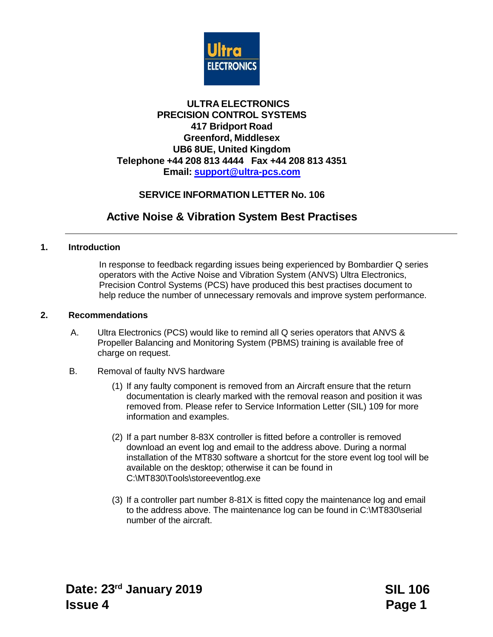

### **ULTRA ELECTRONICS PRECISION CONTROL SYSTEMS 417 Bridport Road Greenford, Middlesex UB6 8UE, United Kingdom Telephone +44 208 813 4444 Fax +44 208 813 4351 Email: [support@ultra-pcs.com](mailto:support@ultra-pcs.com)**

## **SERVICE INFORMATION LETTER No. 106**

## **Active Noise & Vibration System Best Practises**

#### **1. Introduction**

In response to feedback regarding issues being experienced by Bombardier Q series operators with the Active Noise and Vibration System (ANVS) Ultra Electronics, Precision Control Systems (PCS) have produced this best practises document to help reduce the number of unnecessary removals and improve system performance.

#### **2. Recommendations**

- A. Ultra Electronics (PCS) would like to remind all Q series operators that ANVS & Propeller Balancing and Monitoring System (PBMS) training is available free of charge on request.
- B. Removal of faulty NVS hardware
	- (1) If any faulty component is removed from an Aircraft ensure that the return documentation is clearly marked with the removal reason and position it was removed from. Please refer to Service Information Letter (SIL) 109 for more information and examples.
	- (2) If a part number 8-83X controller is fitted before a controller is removed download an event log and email to the address above. During a normal installation of the MT830 software a shortcut for the store event log tool will be available on the desktop; otherwise it can be found in C:\MT830\Tools\storeeventlog.exe
	- (3) If a controller part number 8-81X is fitted copy the maintenance log and email to the address above. The maintenance log can be found in C:\MT830\serial number of the aircraft.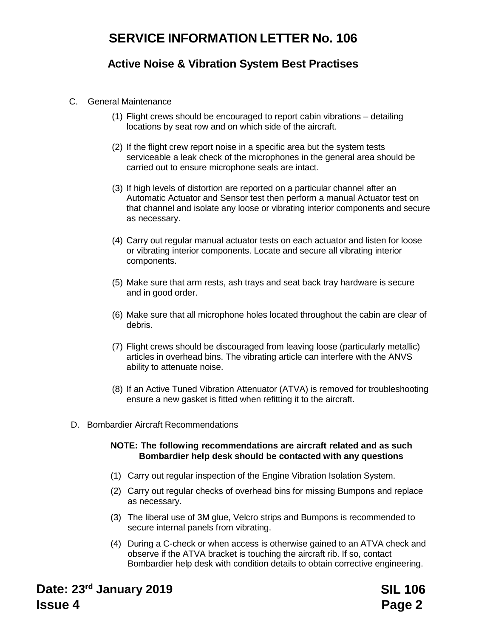## **Active Noise & Vibration System Best Practises**

- C. General Maintenance
	- (1) Flight crews should be encouraged to report cabin vibrations detailing locations by seat row and on which side of the aircraft.
	- (2) If the flight crew report noise in a specific area but the system tests serviceable a leak check of the microphones in the general area should be carried out to ensure microphone seals are intact.
	- (3) If high levels of distortion are reported on a particular channel after an Automatic Actuator and Sensor test then perform a manual Actuator test on that channel and isolate any loose or vibrating interior components and secure as necessary.
	- (4) Carry out regular manual actuator tests on each actuator and listen for loose or vibrating interior components. Locate and secure all vibrating interior components.
	- (5) Make sure that arm rests, ash trays and seat back tray hardware is secure and in good order.
	- (6) Make sure that all microphone holes located throughout the cabin are clear of debris.
	- (7) Flight crews should be discouraged from leaving loose (particularly metallic) articles in overhead bins. The vibrating article can interfere with the ANVS ability to attenuate noise.
	- (8) If an Active Tuned Vibration Attenuator (ATVA) is removed for troubleshooting ensure a new gasket is fitted when refitting it to the aircraft.
- D. Bombardier Aircraft Recommendations

#### **NOTE: The following recommendations are aircraft related and as such Bombardier help desk should be contacted with any questions**

- (1) Carry out regular inspection of the Engine Vibration Isolation System.
- (2) Carry out regular checks of overhead bins for missing Bumpons and replace as necessary.
- (3) The liberal use of 3M glue, Velcro strips and Bumpons is recommended to secure internal panels from vibrating.
- (4) During a C-check or when access is otherwise gained to an ATVA check and observe if the ATVA bracket is touching the aircraft rib. If so, contact Bombardier help desk with condition details to obtain corrective engineering.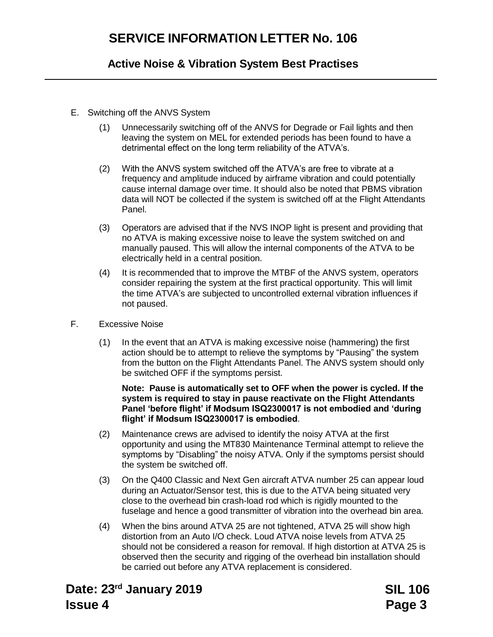## **Active Noise & Vibration System Best Practises**

- E. Switching off the ANVS System
	- (1) Unnecessarily switching off of the ANVS for Degrade or Fail lights and then leaving the system on MEL for extended periods has been found to have a detrimental effect on the long term reliability of the ATVA's.
	- (2) With the ANVS system switched off the ATVA's are free to vibrate at a frequency and amplitude induced by airframe vibration and could potentially cause internal damage over time. It should also be noted that PBMS vibration data will NOT be collected if the system is switched off at the Flight Attendants Panel.
	- (3) Operators are advised that if the NVS INOP light is present and providing that no ATVA is making excessive noise to leave the system switched on and manually paused. This will allow the internal components of the ATVA to be electrically held in a central position.
	- (4) It is recommended that to improve the MTBF of the ANVS system, operators consider repairing the system at the first practical opportunity. This will limit the time ATVA's are subjected to uncontrolled external vibration influences if not paused.
- F. Excessive Noise
	- (1) In the event that an ATVA is making excessive noise (hammering) the first action should be to attempt to relieve the symptoms by "Pausing" the system from the button on the Flight Attendants Panel. The ANVS system should only be switched OFF if the symptoms persist.

#### **Note: Pause is automatically set to OFF when the power is cycled. If the system is required to stay in pause reactivate on the Flight Attendants Panel 'before flight' if Modsum ISQ2300017 is not embodied and 'during flight' if Modsum ISQ2300017 is embodied**.

- (2) Maintenance crews are advised to identify the noisy ATVA at the first opportunity and using the MT830 Maintenance Terminal attempt to relieve the symptoms by "Disabling" the noisy ATVA. Only if the symptoms persist should the system be switched off.
- (3) On the Q400 Classic and Next Gen aircraft ATVA number 25 can appear loud during an Actuator/Sensor test, this is due to the ATVA being situated very close to the overhead bin crash-load rod which is rigidly mounted to the fuselage and hence a good transmitter of vibration into the overhead bin area.
- (4) When the bins around ATVA 25 are not tightened, ATVA 25 will show high distortion from an Auto I/O check. Loud ATVA noise levels from ATVA 25 should not be considered a reason for removal. If high distortion at ATVA 25 is observed then the security and rigging of the overhead bin installation should be carried out before any ATVA replacement is considered.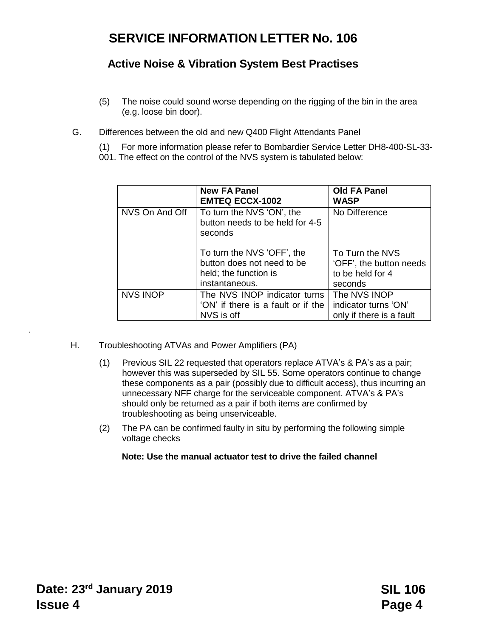## **Active Noise & Vibration System Best Practises**

- (5) The noise could sound worse depending on the rigging of the bin in the area (e.g. loose bin door).
- G. Differences between the old and new Q400 Flight Attendants Panel
	- (1) For more information please refer to Bombardier Service Letter DH8-400-SL-33-
	- 001. The effect on the control of the NVS system is tabulated below:

|                 | <b>New FA Panel</b><br><b>EMTEQ ECCX-1002</b>                                                       | <b>Old FA Panel</b><br><b>WASP</b>                                        |
|-----------------|-----------------------------------------------------------------------------------------------------|---------------------------------------------------------------------------|
| NVS On And Off  | To turn the NVS 'ON', the<br>button needs to be held for 4-5<br>seconds                             | No Difference                                                             |
|                 | To turn the NVS 'OFF', the<br>button does not need to be<br>held; the function is<br>instantaneous. | To Turn the NVS<br>'OFF', the button needs<br>to be held for 4<br>seconds |
| <b>NVS INOP</b> | The NVS INOP indicator turns<br>'ON' if there is a fault or if the<br>NVS is off                    | The NVS INOP<br>indicator turns 'ON'<br>only if there is a fault          |

- H. Troubleshooting ATVAs and Power Amplifiers (PA)
	- (1) Previous SIL 22 requested that operators replace ATVA's & PA's as a pair; however this was superseded by SIL 55. Some operators continue to change these components as a pair (possibly due to difficult access), thus incurring an unnecessary NFF charge for the serviceable component. ATVA's & PA's should only be returned as a pair if both items are confirmed by troubleshooting as being unserviceable.
	- (2) The PA can be confirmed faulty in situ by performing the following simple voltage checks

### **Note: Use the manual actuator test to drive the failed channel**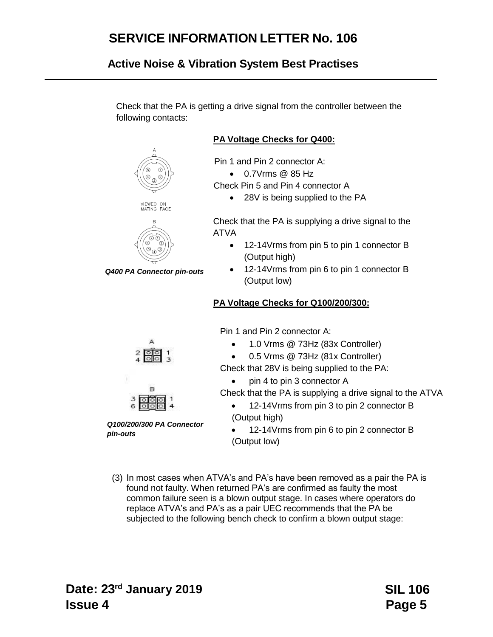## **Active Noise & Vibration System Best Practises**

Check that the PA is getting a drive signal from the controller between the following contacts:



**Pin 1 and Pin 2 connector A:** 

0.7Vrms @ 85 Hz

Check Pin 5 and Pin 4 connector A

• 28V is being supplied to the PA

Check that the PA is supplying a drive signal to the ATVA

- 12-14Vrms from pin 5 to pin 1 connector B (Output high)
- 12-14Vrms from pin 6 to pin 1 connector B (Output low)

### **PA Voltage Checks for Q100/200/300:**

Pin 1 and Pin 2 connector A:

- 1.0 Vrms @ 73Hz (83x Controller)
- 0.5 Vrms @ 73Hz (81x Controller)

Check that 28V is being supplied to the PA:

• pin 4 to pin 3 connector A

Check that the PA is supplying a drive signal to the ATVA

- 12-14Vrms from pin 3 to pin 2 connector B (Output high)
- 12-14Vrms from pin 6 to pin 2 connector B (Output low)
- (3) In most cases when ATVA's and PA's have been removed as a pair the PA is found not faulty. When returned PA's are confirmed as faulty the most common failure seen is a blown output stage. In cases where operators do replace ATVA's and PA's as a pair UEC recommends that the PA be subjected to the following bench check to confirm a blown output stage:





*Q100/200/300 PA Connector pin-outs*

VIEWED ON<br>MATING FACE



*Q400 PA Connector pin-outs*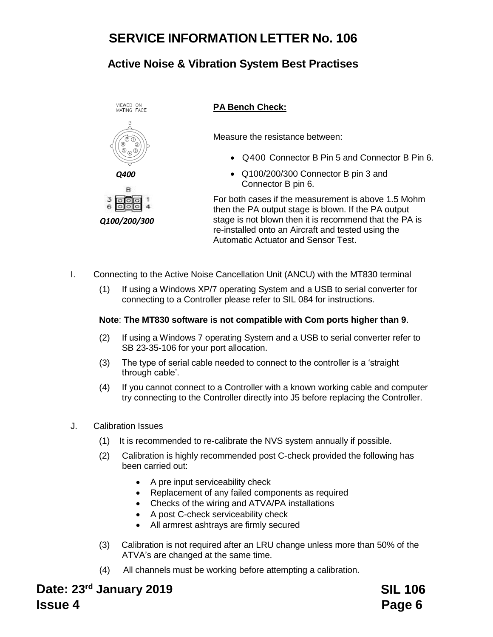# **Active Noise & Vibration System Best Practises**



- I. Connecting to the Active Noise Cancellation Unit (ANCU) with the MT830 terminal
	- (1) If using a Windows XP/7 operating System and a USB to serial converter for connecting to a Controller please refer to SIL 084 for instructions.

#### **Note**: **The MT830 software is not compatible with Com ports higher than 9**.

- (2) If using a Windows 7 operating System and a USB to serial converter refer to SB 23-35-106 for your port allocation.
- (3) The type of serial cable needed to connect to the controller is a 'straight through cable'.
- (4) If you cannot connect to a Controller with a known working cable and computer try connecting to the Controller directly into J5 before replacing the Controller.
- J. Calibration Issues
	- (1) It is recommended to re-calibrate the NVS system annually if possible.
	- (2) Calibration is highly recommended post C-check provided the following has been carried out:
		- A pre input serviceability check
		- Replacement of any failed components as required
		- Checks of the wiring and ATVA/PA installations
		- A post C-check serviceability check
		- All armrest ashtrays are firmly secured
	- (3) Calibration is not required after an LRU change unless more than 50% of the ATVA's are changed at the same time.
	- (4) All channels must be working before attempting a calibration.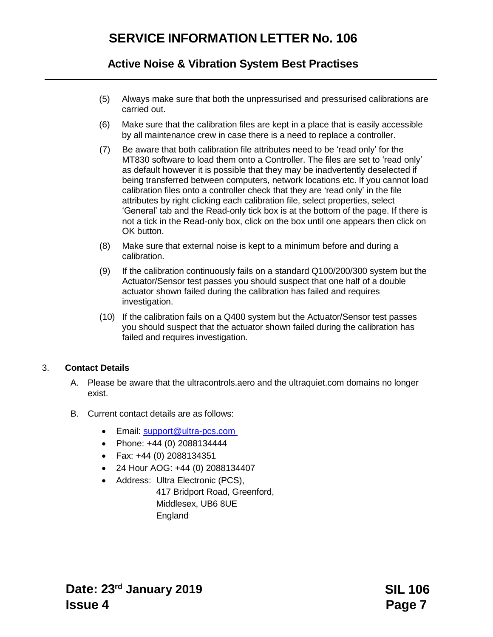## **Active Noise & Vibration System Best Practises**

- (5) Always make sure that both the unpressurised and pressurised calibrations are carried out.
- (6) Make sure that the calibration files are kept in a place that is easily accessible by all maintenance crew in case there is a need to replace a controller.
- (7) Be aware that both calibration file attributes need to be 'read only' for the MT830 software to load them onto a Controller. The files are set to 'read only' as default however it is possible that they may be inadvertently deselected if being transferred between computers, network locations etc. If you cannot load calibration files onto a controller check that they are 'read only' in the file attributes by right clicking each calibration file, select properties, select 'General' tab and the Read-only tick box is at the bottom of the page. If there is not a tick in the Read-only box, click on the box until one appears then click on OK button.
- (8) Make sure that external noise is kept to a minimum before and during a calibration.
- (9) If the calibration continuously fails on a standard Q100/200/300 system but the Actuator/Sensor test passes you should suspect that one half of a double actuator shown failed during the calibration has failed and requires investigation.
- (10) If the calibration fails on a Q400 system but the Actuator/Sensor test passes you should suspect that the actuator shown failed during the calibration has failed and requires investigation.

### 3. **Contact Details**

- A. Please be aware that the ultracontrols.aero and the ultraquiet.com domains no longer exist.
- B. Current contact details are as follows:
	- Email: [support@ultra-pcs.com](mailto:support@ultra-pcs.com)
	- Phone: +44 (0) 2088134444
	- Fax: +44 (0) 2088134351
	- 24 Hour AOG: +44 (0) 2088134407
	- Address: Ultra Electronic (PCS),

417 Bridport Road, Greenford, Middlesex, UB6 8UE England

**Date: 23rd January 2019 Issue 4**

**SIL 106 Page 7**